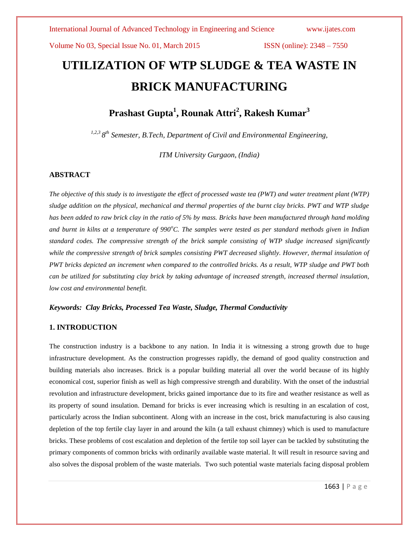# **UTILIZATION OF WTP SLUDGE & TEA WASTE IN BRICK MANUFACTURING**

**Prashast Gupta<sup>1</sup> , Rounak Attri<sup>2</sup> , Rakesh Kumar<sup>3</sup>**

*1,2,3 8 th Semester, B.Tech, Department of Civil and Environmental Engineering,* 

*ITM University Gurgaon, (India)*

# **ABSTRACT**

*The objective of this study is to investigate the effect of processed waste tea (PWT) and water treatment plant (WTP) sludge addition on the physical, mechanical and thermal properties of the burnt clay bricks. PWT and WTP sludge has been added to raw brick clay in the ratio of 5% by mass. Bricks have been manufactured through hand molding and burnt in kilns at a temperature of 990<sup>o</sup>C. The samples were tested as per standard methods given in Indian standard codes. The compressive strength of the brick sample consisting of WTP sludge increased significantly* while the compressive strength of brick samples consisting PWT decreased slightly. However, thermal insulation of *PWT bricks depicted an increment when compared to the controlled bricks. As a result, WTP sludge and PWT both can be utilized for substituting clay brick by taking advantage of increased strength, increased thermal insulation, low cost and environmental benefit.*

### *Keywords: Clay Bricks, Processed Tea Waste, Sludge, Thermal Conductivity*

# **1. INTRODUCTION**

The construction industry is a backbone to any nation. In India it is witnessing a strong growth due to huge infrastructure development. As the construction progresses rapidly, the demand of good quality construction and building materials also increases. Brick is a popular building material all over the world because of its highly economical cost, superior finish as well as high compressive strength and durability. With the onset of the industrial revolution and infrastructure development, bricks gained importance due to its fire and weather resistance as well as its property of sound insulation. Demand for bricks is ever increasing which is resulting in an escalation of cost, particularly across the Indian subcontinent. Along with an increase in the cost, brick manufacturing is also causing depletion of the top fertile clay layer in and around the kiln (a tall exhaust chimney) which is used to manufacture bricks. These problems of cost escalation and depletion of the fertile top soil layer can be tackled by substituting the primary components of common bricks with ordinarily available waste material. It will result in resource saving and also solves the disposal problem of the waste materials. Two such potential waste materials facing disposal problem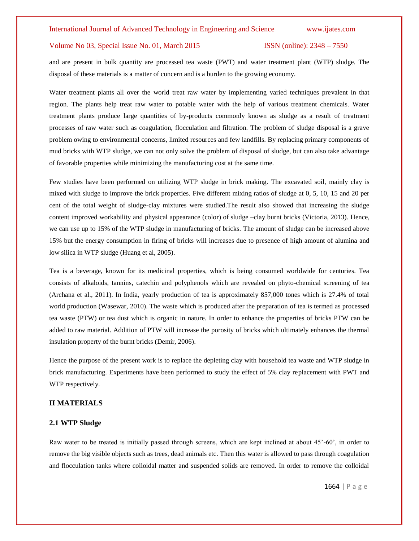and are present in bulk quantity are processed tea waste (PWT) and water treatment plant (WTP) sludge. The disposal of these materials is a matter of concern and is a burden to the growing economy.

Water treatment plants all over the world treat raw water by implementing varied techniques prevalent in that region. The plants help treat raw water to potable water with the help of various treatment chemicals. Water treatment plants produce large quantities of by-products commonly known as sludge as a result of treatment processes of raw water such as coagulation, flocculation and filtration. The problem of sludge disposal is a grave problem owing to environmental concerns, limited resources and few landfills. By replacing primary components of mud bricks with WTP sludge, we can not only solve the problem of disposal of sludge, but can also take advantage of favorable properties while minimizing the manufacturing cost at the same time.

Few studies have been performed on utilizing WTP sludge in brick making. The excavated soil, mainly clay is mixed with sludge to improve the brick properties. Five different mixing ratios of sludge at 0, 5, 10, 15 and 20 per cent of the total weight of sludge-clay mixtures were studied.The result also showed that increasing the sludge content improved workability and physical appearance (color) of sludge –clay burnt bricks (Victoria, 2013). Hence, we can use up to 15% of the WTP sludge in manufacturing of bricks. The amount of sludge can be increased above 15% but the energy consumption in firing of bricks will increases due to presence of high amount of alumina and low silica in WTP sludge (Huang et al, 2005).

Tea is a beverage, known for its medicinal properties, which is being consumed worldwide for centuries. Tea consists of alkaloids, tannins, catechin and polyphenols which are revealed on phyto-chemical screening of tea (Archana et al., 2011). In India, yearly production of tea is approximately 857,000 tones which is 27.4% of total world production (Wasewar, 2010). The waste which is produced after the preparation of tea is termed as processed tea waste (PTW) or tea dust which is organic in nature. In order to enhance the properties of bricks PTW can be added to raw material. Addition of PTW will increase the porosity of bricks which ultimately enhances the thermal insulation property of the burnt bricks (Demir, 2006).

Hence the purpose of the present work is to replace the depleting clay with household tea waste and WTP sludge in brick manufacturing. Experiments have been performed to study the effect of 5% clay replacement with PWT and WTP respectively.

# **II MATERIALS**

# **2.1 WTP Sludge**

Raw water to be treated is initially passed through screens, which are kept inclined at about 45'-60', in order to remove the big visible objects such as trees, dead animals etc. Then this water is allowed to pass through coagulation and flocculation tanks where colloidal matter and suspended solids are removed. In order to remove the colloidal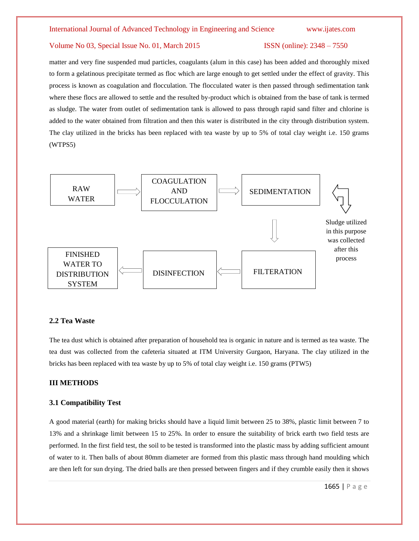### International Journal of Advanced Technology in Engineering and Science www.ijates.com

# Volume No 03, Special Issue No. 01, March 2015 ISSN (online): 2348 – 7550

matter and very fine suspended mud particles, coagulants (alum in this case) has been added and thoroughly mixed to form a gelatinous precipitate termed as floc which are large enough to get settled under the effect of gravity. This process is known as coagulation and flocculation. The flocculated water is then passed through sedimentation tank where these flocs are allowed to settle and the resulted by-product which is obtained from the base of tank is termed as sludge. The water from outlet of sedimentation tank is allowed to pass through rapid sand filter and chlorine is added to the water obtained from filtration and then this water is distributed in the city through distribution system. The clay utilized in the bricks has been replaced with tea waste by up to 5% of total clay weight i.e. 150 grams (WTPS5)



# **2.2 Tea Waste**

The tea dust which is obtained after preparation of household tea is organic in nature and is termed as tea waste. The tea dust was collected from the cafeteria situated at ITM University Gurgaon, Haryana. The clay utilized in the bricks has been replaced with tea waste by up to 5% of total clay weight i.e. 150 grams (PTW5)

# **III METHODS**

## **3.1 Compatibility Test**

A good material (earth) for making bricks should have a liquid limit between 25 to 38%, plastic limit between 7 to 13% and a shrinkage limit between 15 to 25%. In order to ensure the suitability of brick earth two field tests are performed. In the first field test, the soil to be tested is transformed into the plastic mass by adding sufficient amount of water to it. Then balls of about 80mm diameter are formed from this plastic mass through hand moulding which are then left for sun drying. The dried balls are then pressed between fingers and if they crumble easily then it shows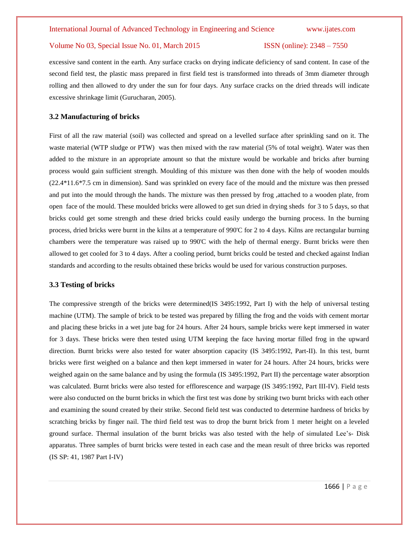excessive sand content in the earth. Any surface cracks on drying indicate deficiency of sand content. In case of the second field test, the plastic mass prepared in first field test is transformed into threads of 3mm diameter through rolling and then allowed to dry under the sun for four days. Any surface cracks on the dried threads will indicate excessive shrinkage limit (Gurucharan, 2005).

# **3.2 Manufacturing of bricks**

First of all the raw material (soil) was collected and spread on a levelled surface after sprinkling sand on it. The waste material (WTP sludge or PTW) was then mixed with the raw material (5% of total weight). Water was then added to the mixture in an appropriate amount so that the mixture would be workable and bricks after burning process would gain sufficient strength. Moulding of this mixture was then done with the help of wooden moulds (22.4\*11.6\*7.5 cm in dimension). Sand was sprinkled on every face of the mould and the mixture was then pressed and put into the mould through the hands. The mixture was then pressed by frog ,attached to a wooden plate, from open face of the mould. These moulded bricks were allowed to get sun dried in drying sheds for 3 to 5 days, so that bricks could get some strength and these dried bricks could easily undergo the burning process. In the burning process, dried bricks were burnt in the kilns at a temperature of 990'C for 2 to 4 days. Kilns are rectangular burning chambers were the temperature was raised up to 990'C with the help of thermal energy. Burnt bricks were then allowed to get cooled for 3 to 4 days. After a cooling period, burnt bricks could be tested and checked against Indian standards and according to the results obtained these bricks would be used for various construction purposes.

### **3.3 Testing of bricks**

The compressive strength of the bricks were determined(IS 3495:1992, Part I) with the help of universal testing machine (UTM). The sample of brick to be tested was prepared by filling the frog and the voids with cement mortar and placing these bricks in a wet jute bag for 24 hours. After 24 hours, sample bricks were kept immersed in water for 3 days. These bricks were then tested using UTM keeping the face having mortar filled frog in the upward direction. Burnt bricks were also tested for water absorption capacity (IS 3495:1992, Part-II). In this test, burnt bricks were first weighed on a balance and then kept immersed in water for 24 hours. After 24 hours, bricks were weighed again on the same balance and by using the formula (IS 3495:1992, Part II) the percentage water absorption was calculated. Burnt bricks were also tested for efflorescence and warpage (IS 3495:1992, Part III-IV). Field tests were also conducted on the burnt bricks in which the first test was done by striking two burnt bricks with each other and examining the sound created by their strike. Second field test was conducted to determine hardness of bricks by scratching bricks by finger nail. The third field test was to drop the burnt brick from 1 meter height on a leveled ground surface. Thermal insulation of the burnt bricks was also tested with the help of simulated Lee's- Disk apparatus. Three samples of burnt bricks were tested in each case and the mean result of three bricks was reported (IS SP: 41, 1987 Part I-IV)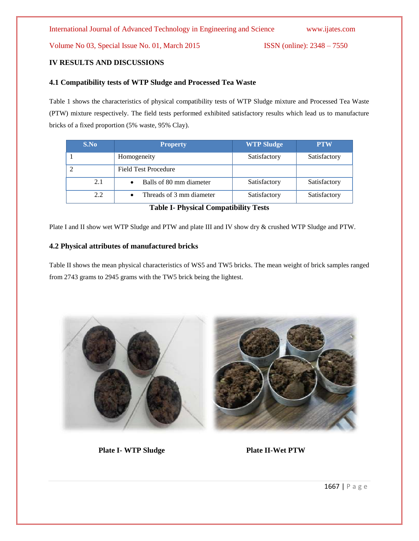# **IV RESULTS AND DISCUSSIONS**

# **4.1 Compatibility tests of WTP Sludge and Processed Tea Waste**

Table 1 shows the characteristics of physical compatibility tests of WTP Sludge mixture and Processed Tea Waste (PTW) mixture respectively. The field tests performed exhibited satisfactory results which lead us to manufacture bricks of a fixed proportion (5% waste, 95% Clay).

| S.No | <b>Property</b>             | <b>WTP Sludge</b> | <b>PTW</b>   |
|------|-----------------------------|-------------------|--------------|
|      | Homogeneity                 | Satisfactory      | Satisfactory |
|      | <b>Field Test Procedure</b> |                   |              |
| 2.1  | Balls of 80 mm diameter     | Satisfactory      | Satisfactory |
| 2.2  | Threads of 3 mm diameter    | Satisfactory      | Satisfactory |

**Table I- Physical Compatibility Tests**

Plate I and II show wet WTP Sludge and PTW and plate III and IV show dry & crushed WTP Sludge and PTW.

# **4.2 Physical attributes of manufactured bricks**

Table II shows the mean physical characteristics of WS5 and TW5 bricks. The mean weight of brick samples ranged from 2743 grams to 2945 grams with the TW5 brick being the lightest.



**Plate I- WTP Sludge Plate II-Wet PTW**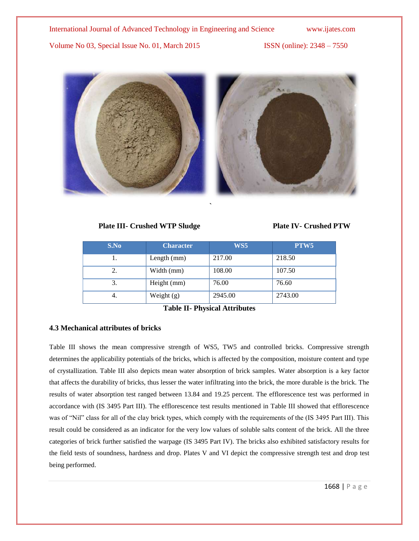

# **Plate III- Crushed WTP Sludge Plate IV- Crushed PTW**

| S.No | <b>Character</b> | WS5     | PTW <sub>5</sub> |
|------|------------------|---------|------------------|
|      | Length $(mm)$    | 217.00  | 218.50           |
| 2.   | Width (mm)       | 108.00  | 107.50           |
| 3.   | Height (mm)      | 76.00   | 76.60            |
| 4.   | Weight $(g)$     | 2945.00 | 2743.00          |

**`**

**Table II- Physical Attributes**

# **4.3 Mechanical attributes of bricks**

Table III shows the mean compressive strength of WS5, TW5 and controlled bricks. Compressive strength determines the applicability potentials of the bricks, which is affected by the composition, moisture content and type of crystallization. Table III also depicts mean water absorption of brick samples. Water absorption is a key factor that affects the durability of bricks, thus lesser the water infiltrating into the brick, the more durable is the brick. The results of water absorption test ranged between 13.84 and 19.25 percent. The efflorescence test was performed in accordance with (IS 3495 Part III). The efflorescence test results mentioned in Table III showed that efflorescence was of "Nil" class for all of the clay brick types, which comply with the requirements of the (IS 3495 Part III). This result could be considered as an indicator for the very low values of soluble salts content of the brick. All the three categories of brick further satisfied the warpage (IS 3495 Part IV). The bricks also exhibited satisfactory results for the field tests of soundness, hardness and drop. Plates V and VI depict the compressive strength test and drop test being performed.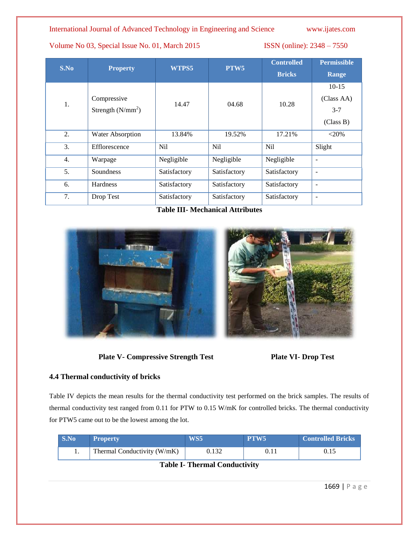# International Journal of Advanced Technology in Engineering and Science www.ijates.com

Volume No 03, Special Issue No. 01, March 2015 ISSN (online): 2348 – 7550

| S.No | <b>Property</b>     | WTPS5           | PTW <sub>5</sub> | <b>Controlled</b> | <b>Permissible</b> |
|------|---------------------|-----------------|------------------|-------------------|--------------------|
|      |                     |                 | <b>Bricks</b>    | <b>Range</b>      |                    |
|      |                     |                 |                  |                   | $10-15$            |
|      | Compressive         | 14.47           | 04.68            | 10.28             | (Class AA)         |
| 1.   | Strength $(N/mm^2)$ |                 |                  |                   | $3 - 7$            |
|      |                     |                 |                  |                   | (Class B)          |
| 2.   | Water Absorption    | 13.84%          | 19.52%           | 17.21%            | $<$ 20%            |
| 3.   | Efflorescence       | N <sub>il</sub> | Nil              | Nil               | Slight             |
| 4.   | Warpage             | Negligible      | Negligible       | Negligible        |                    |
| 5.   | Soundness           | Satisfactory    | Satisfactory     | Satisfactory      | $\qquad \qquad$    |
| 6.   | <b>Hardness</b>     | Satisfactory    | Satisfactory     | Satisfactory      | $\qquad \qquad$    |
| 7.   | Drop Test           | Satisfactory    | Satisfactory     | Satisfactory      | $\qquad \qquad$    |

**Table III- Mechanical Attributes**



**Plate V- Compressive Strength Test** Plate VI- **Drop Test** 



# **4.4 Thermal conductivity of bricks**

Table IV depicts the mean results for the thermal conductivity test performed on the brick samples. The results of thermal conductivity test ranged from 0.11 for PTW to 0.15 W/mK for controlled bricks. The thermal conductivity for PTW5 came out to be the lowest among the lot.

| S.No                                 | <b>Property</b>             | WS5   | PTW <sub>5</sub> | <b>Controlled Bricks</b> |
|--------------------------------------|-----------------------------|-------|------------------|--------------------------|
|                                      | Thermal Conductivity (W/mK) | 0.132 |                  |                          |
| $\mathbf{r}$<br><b>THIT THE</b><br>. |                             |       |                  |                          |

# **Table I- Thermal Conductivity**